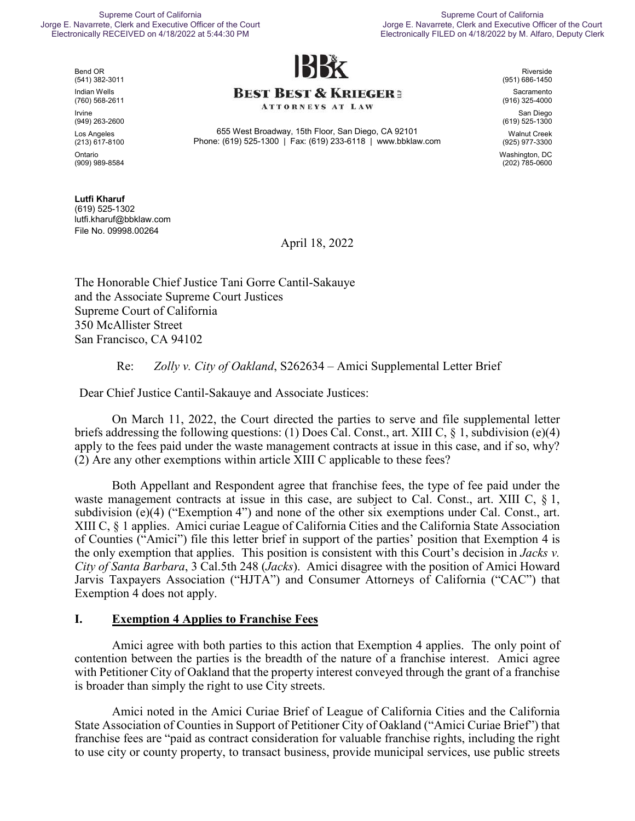#### Supreme Court of California Jorge E. Navarrete, Clerk and Executive Officer of the Court Electronically RECEIVED on 4/18/2022 at 5:44:30 PM

Supreme Court of California Jorge E. Navarrete, Clerk and Executive Officer of the Court Electronically FILED on 4/18/2022 by M. Alfaro, Deputy Clerk



Bend OR (541) 382-3011 Indian Wells (760) 568-2611 Irvine (949) 263-2600 Los Angeles (213) 617-8100

Ontario (909) 989-8584

**Lutfi Kharuf**  (619) 525-1302 lutfi.kharuf@bbklaw.com File No. 09998.00264

### **BEST BEST & KRIEGER:**

**ATTORNEYS AT LAW** 

655 West Broadway, 15th Floor, San Diego, CA 92101 Phone: (619) 525-1300 | Fax: (619) 233-6118 | www.bbklaw.com

Riverside (951) 686-1450

Sacramento (916) 325-4000

San Diego (619) 525-1300

Walnut Creek (925) 977-3300 Washington, DC (202) 785-0600

April 18, 2022

The Honorable Chief Justice Tani Gorre Cantil-Sakauye and the Associate Supreme Court Justices Supreme Court of California 350 McAllister Street San Francisco, CA 94102

Re: *Zolly v. City of Oakland*, S262634 – Amici Supplemental Letter Brief

Dear Chief Justice Cantil-Sakauye and Associate Justices:

On March 11, 2022, the Court directed the parties to serve and file supplemental letter briefs addressing the following questions: (1) Does Cal. Const., art. XIII C, § 1, subdivision (e)(4) apply to the fees paid under the waste management contracts at issue in this case, and if so, why? (2) Are any other exemptions within article XIII C applicable to these fees?

Both Appellant and Respondent agree that franchise fees, the type of fee paid under the waste management contracts at issue in this case, are subject to Cal. Const., art. XIII C, § 1, subdivision (e)(4) ("Exemption 4") and none of the other six exemptions under Cal. Const., art. XIII C, § 1 applies. Amici curiae League of California Cities and the California State Association of Counties ("Amici") file this letter brief in support of the parties' position that Exemption 4 is the only exemption that applies. This position is consistent with this Court's decision in *Jacks v. City of Santa Barbara*, 3 Cal.5th 248 (*Jacks*). Amici disagree with the position of Amici Howard Jarvis Taxpayers Association ("HJTA") and Consumer Attorneys of California ("CAC") that Exemption 4 does not apply.

### **I. Exemption 4 Applies to Franchise Fees**

Amici agree with both parties to this action that Exemption 4 applies. The only point of contention between the parties is the breadth of the nature of a franchise interest. Amici agree with Petitioner City of Oakland that the property interest conveyed through the grant of a franchise is broader than simply the right to use City streets.

Amici noted in the Amici Curiae Brief of League of California Cities and the California State Association of Counties in Support of Petitioner City of Oakland ("Amici Curiae Brief") that franchise fees are "paid as contract consideration for valuable franchise rights, including the right to use city or county property, to transact business, provide municipal services, use public streets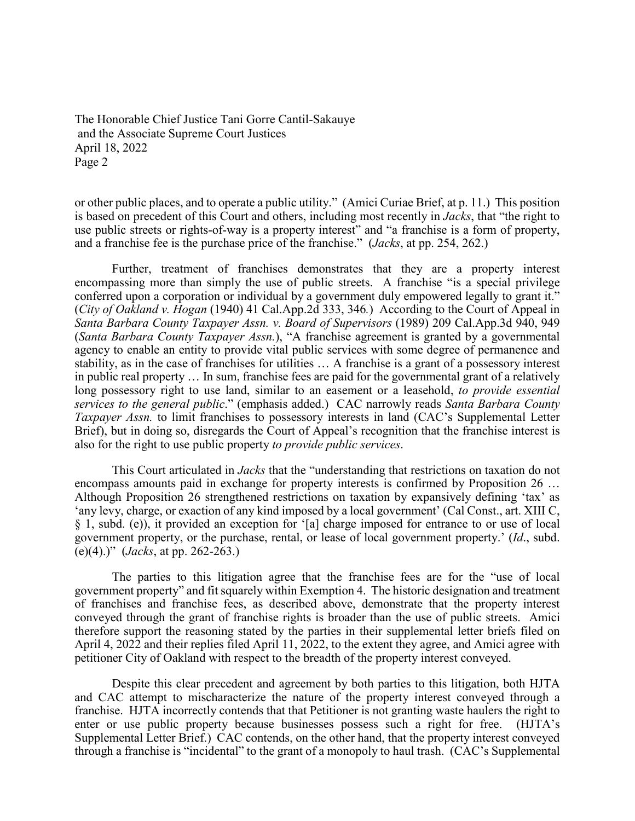The Honorable Chief Justice Tani Gorre Cantil-Sakauye and the Associate Supreme Court Justices April 18, 2022 Page 2

or other public places, and to operate a public utility." (Amici Curiae Brief, at p. 11.) This position is based on precedent of this Court and others, including most recently in *Jacks*, that "the right to use public streets or rights-of-way is a property interest" and "a franchise is a form of property, and a franchise fee is the purchase price of the franchise." (*Jacks*, at pp. 254, 262.)

Further, treatment of franchises demonstrates that they are a property interest encompassing more than simply the use of public streets. A franchise "is a special privilege conferred upon a corporation or individual by a government duly empowered legally to grant it." (*City of Oakland v. Hogan* (1940) 41 Cal.App.2d 333, 346*.*) According to the Court of Appeal in *Santa Barbara County Taxpayer Assn. v. Board of Supervisors* (1989) 209 Cal.App.3d 940, 949 (*Santa Barbara County Taxpayer Assn.*), "A franchise agreement is granted by a governmental agency to enable an entity to provide vital public services with some degree of permanence and stability, as in the case of franchises for utilities … A franchise is a grant of a possessory interest in public real property … In sum, franchise fees are paid for the governmental grant of a relatively long possessory right to use land, similar to an easement or a leasehold, *to provide essential services to the general public*." (emphasis added.) CAC narrowly reads *Santa Barbara County Taxpayer Assn.* to limit franchises to possessory interests in land (CAC's Supplemental Letter Brief), but in doing so, disregards the Court of Appeal's recognition that the franchise interest is also for the right to use public property *to provide public services*.

This Court articulated in *Jacks* that the "understanding that restrictions on taxation do not encompass amounts paid in exchange for property interests is confirmed by Proposition 26 … Although Proposition 26 strengthened restrictions on taxation by expansively defining 'tax' as 'any levy, charge, or exaction of any kind imposed by a local government' (Cal Const., art. XIII C, § 1, subd. (e)), it provided an exception for '[a] charge imposed for entrance to or use of local government property, or the purchase, rental, or lease of local government property.' (*Id*., subd. (e)(4).)" (*Jacks*, at pp. 262-263.)

The parties to this litigation agree that the franchise fees are for the "use of local government property" and fit squarely within Exemption 4. The historic designation and treatment of franchises and franchise fees, as described above, demonstrate that the property interest conveyed through the grant of franchise rights is broader than the use of public streets. Amici therefore support the reasoning stated by the parties in their supplemental letter briefs filed on April 4, 2022 and their replies filed April 11, 2022, to the extent they agree, and Amici agree with petitioner City of Oakland with respect to the breadth of the property interest conveyed.

Despite this clear precedent and agreement by both parties to this litigation, both HJTA and CAC attempt to mischaracterize the nature of the property interest conveyed through a franchise. HJTA incorrectly contends that that Petitioner is not granting waste haulers the right to enter or use public property because businesses possess such a right for free. (HJTA's Supplemental Letter Brief.) CAC contends, on the other hand, that the property interest conveyed through a franchise is "incidental" to the grant of a monopoly to haul trash. (CAC's Supplemental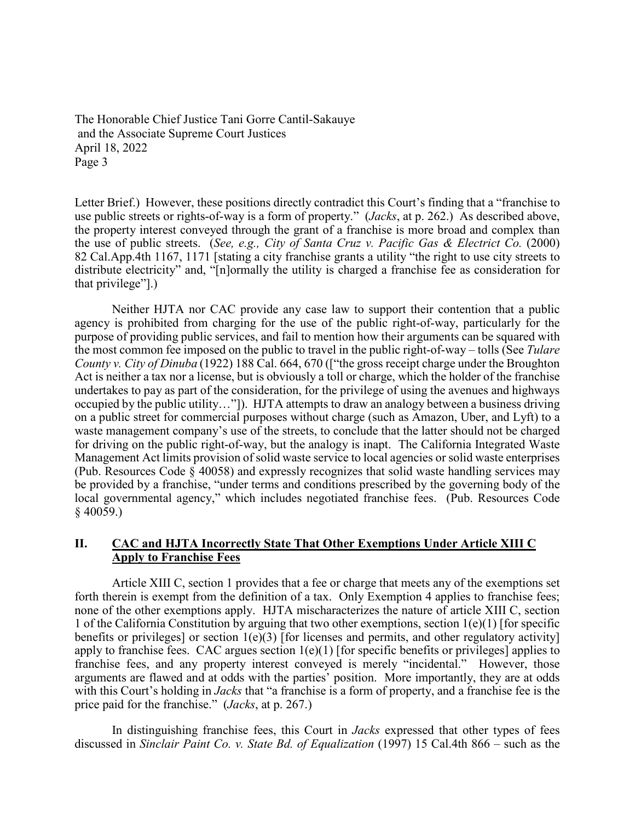The Honorable Chief Justice Tani Gorre Cantil-Sakauye and the Associate Supreme Court Justices April 18, 2022 Page 3

Letter Brief.) However, these positions directly contradict this Court's finding that a "franchise to use public streets or rights-of-way is a form of property." (*Jacks*, at p. 262.) As described above, the property interest conveyed through the grant of a franchise is more broad and complex than the use of public streets. (*See, e.g., City of Santa Cruz v. Pacific Gas & Electrict Co.* (2000) 82 Cal.App.4th 1167, 1171 [stating a city franchise grants a utility "the right to use city streets to distribute electricity" and, "[n]ormally the utility is charged a franchise fee as consideration for that privilege"].)

Neither HJTA nor CAC provide any case law to support their contention that a public agency is prohibited from charging for the use of the public right-of-way, particularly for the purpose of providing public services, and fail to mention how their arguments can be squared with the most common fee imposed on the public to travel in the public right-of-way – tolls (See *Tulare County v. City of Dinuba* (1922) 188 Cal. 664, 670 (["the gross receipt charge under the Broughton Act is neither a tax nor a license, but is obviously a toll or charge, which the holder of the franchise undertakes to pay as part of the consideration, for the privilege of using the avenues and highways occupied by the public utility…"]). HJTA attempts to draw an analogy between a business driving on a public street for commercial purposes without charge (such as Amazon, Uber, and Lyft) to a waste management company's use of the streets, to conclude that the latter should not be charged for driving on the public right-of-way, but the analogy is inapt. The California Integrated Waste Management Act limits provision of solid waste service to local agencies or solid waste enterprises (Pub. Resources Code § 40058) and expressly recognizes that solid waste handling services may be provided by a franchise, "under terms and conditions prescribed by the governing body of the local governmental agency," which includes negotiated franchise fees. (Pub. Resources Code § 40059.)

#### **II. CAC and HJTA Incorrectly State That Other Exemptions Under Article XIII C Apply to Franchise Fees**

Article XIII C, section 1 provides that a fee or charge that meets any of the exemptions set forth therein is exempt from the definition of a tax. Only Exemption 4 applies to franchise fees; none of the other exemptions apply. HJTA mischaracterizes the nature of article XIII C, section 1 of the California Constitution by arguing that two other exemptions, section 1(e)(1) [for specific benefits or privileges] or section  $1(e)(3)$  [for licenses and permits, and other regulatory activity] apply to franchise fees. CAC argues section 1(e)(1) [for specific benefits or privileges] applies to franchise fees, and any property interest conveyed is merely "incidental." However, those arguments are flawed and at odds with the parties' position. More importantly, they are at odds with this Court's holding in *Jacks* that "a franchise is a form of property, and a franchise fee is the price paid for the franchise." (*Jacks*, at p. 267.)

In distinguishing franchise fees, this Court in *Jacks* expressed that other types of fees discussed in *Sinclair Paint Co. v. State Bd. of Equalization* (1997) 15 Cal.4th 866 *–* such as the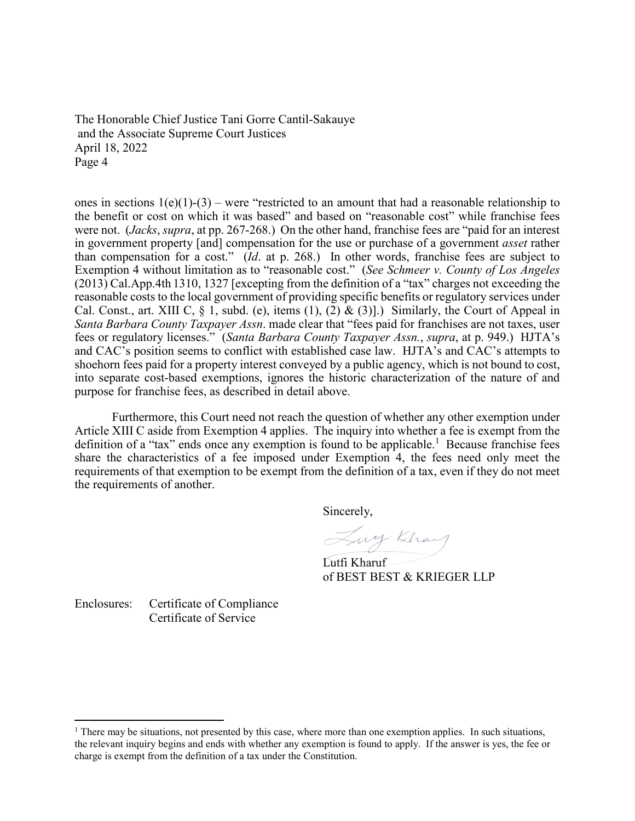The Honorable Chief Justice Tani Gorre Cantil-Sakauye and the Associate Supreme Court Justices April 18, 2022 Page 4

ones in sections  $1(e)(1)-(3)$  – were "restricted to an amount that had a reasonable relationship to the benefit or cost on which it was based" and based on "reasonable cost" while franchise fees were not. (*Jacks*, *supra*, at pp. 267-268.) On the other hand, franchise fees are "paid for an interest in government property [and] compensation for the use or purchase of a government *asset* rather than compensation for a cost." (*Id*. at p. 268.) In other words, franchise fees are subject to Exemption 4 without limitation as to "reasonable cost." (*See Schmeer v. County of Los Angeles* (2013) Cal.App.4th 1310, 1327 [excepting from the definition of a "tax" charges not exceeding the reasonable costs to the local government of providing specific benefits or regulatory services under Cal. Const., art. XIII C,  $\S$  1, subd. (e), items (1), (2) & (3)].) Similarly, the Court of Appeal in *Santa Barbara County Taxpayer Assn*. made clear that "fees paid for franchises are not taxes, user fees or regulatory licenses." (*Santa Barbara County Taxpayer Assn.*, *supra*, at p. 949.) HJTA's and CAC's position seems to conflict with established case law. HJTA's and CAC's attempts to shoehorn fees paid for a property interest conveyed by a public agency, which is not bound to cost, into separate cost-based exemptions, ignores the historic characterization of the nature of and purpose for franchise fees, as described in detail above.

Furthermore, this Court need not reach the question of whether any other exemption under Article XIII C aside from Exemption 4 applies. The inquiry into whether a fee is exempt from the definition of a "tax" ends once any exemption is found to be applicable.<sup>1</sup> Because franchise fees share the characteristics of a fee imposed under Exemption 4, the fees need only meet the requirements of that exemption to be exempt from the definition of a tax, even if they do not meet the requirements of another.

Sincerely,

Lug. Khay

Lutfi Kharuf of BEST BEST & KRIEGER LLP

Enclosures: Certificate of Compliance Certificate of Service

<sup>&</sup>lt;sup>1</sup> There may be situations, not presented by this case, where more than one exemption applies. In such situations, the relevant inquiry begins and ends with whether any exemption is found to apply. If the answer is yes, the fee or charge is exempt from the definition of a tax under the Constitution.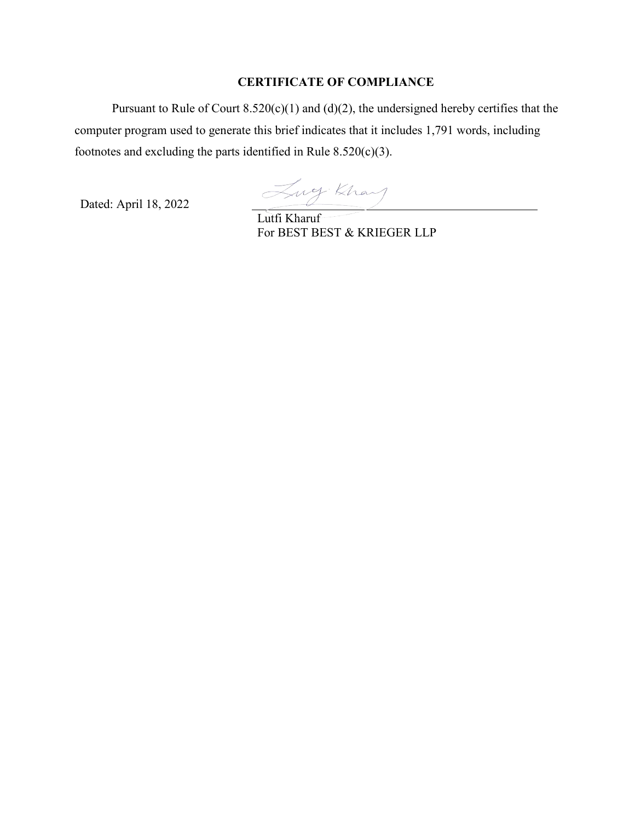### **CERTIFICATE OF COMPLIANCE**

Pursuant to Rule of Court  $8.520(c)(1)$  and  $(d)(2)$ , the undersigned hereby certifies that the computer program used to generate this brief indicates that it includes 1,791 words, including footnotes and excluding the parts identified in Rule  $8.520(c)(3)$ .

Dated: April 18, 2022

Lucy Khay

For BEST BEST & KRIEGER LLP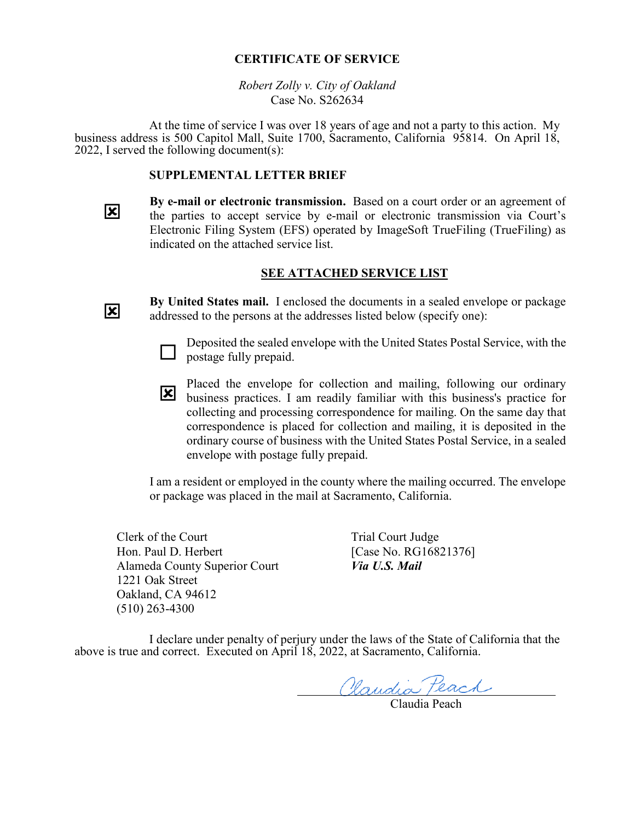#### **CERTIFICATE OF SERVICE**

*Robert Zolly v. City of Oakland* Case No. S262634

At the time of service I was over 18 years of age and not a party to this action. My business address is 500 Capitol Mall, Suite 1700, Sacramento, California 95814. On April 18, 2022, I served the following document(s):

#### **SUPPLEMENTAL LETTER BRIEF**

**By e-mail or electronic transmission.** Based on a court order or an agreement of the parties to accept service by e-mail or electronic transmission via Court's Electronic Filing System (EFS) operated by ImageSoft TrueFiling (TrueFiling) as indicated on the attached service list.

#### **SEE ATTACHED SERVICE LIST**

冈

 $\overline{\mathbf{x}}$ 

**By United States mail.** I enclosed the documents in a sealed envelope or package addressed to the persons at the addresses listed below (specify one):



Deposited the sealed envelope with the United States Postal Service, with the postage fully prepaid.

business practices. I am readily familiar with this business's practice for Placed the envelope for collection and mailing, following our ordinary collecting and processing correspondence for mailing. On the same day that correspondence is placed for collection and mailing, it is deposited in the ordinary course of business with the United States Postal Service, in a sealed envelope with postage fully prepaid.

I am a resident or employed in the county where the mailing occurred. The envelope or package was placed in the mail at Sacramento, California.

Clerk of the Court Hon. Paul D. Herbert Alameda County Superior Court 1221 Oak Street Oakland, CA 94612 (510) 263-4300

Trial Court Judge [Case No. RG16821376] *Via U.S. Mail*

I declare under penalty of perjury under the laws of the State of California that the above is true and correct. Executed on April 18, 2022, at Sacramento, California.

Claudia Peach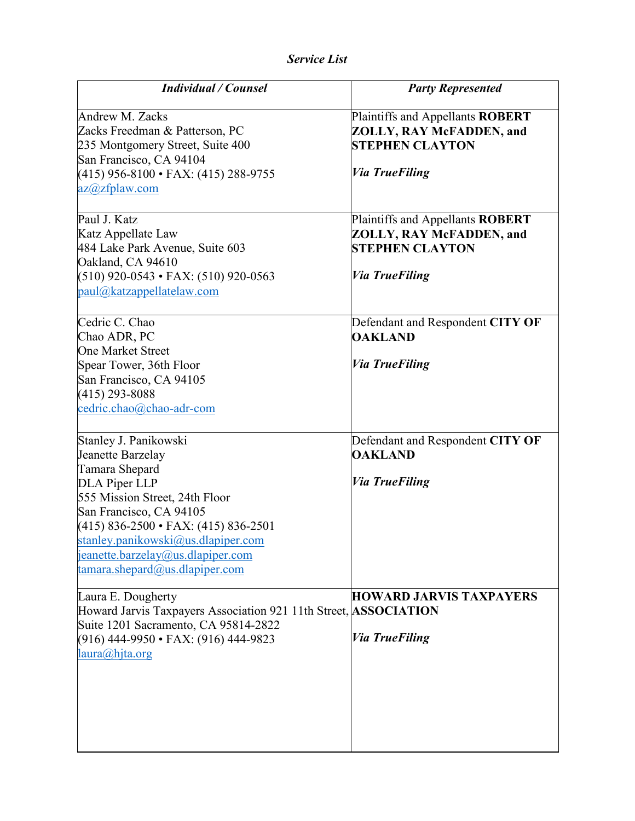| <b>Individual / Counsel</b>                                                                                                                                                                                                                                                                         | <b>Party Represented</b>                                                                                               |
|-----------------------------------------------------------------------------------------------------------------------------------------------------------------------------------------------------------------------------------------------------------------------------------------------------|------------------------------------------------------------------------------------------------------------------------|
| <b>Andrew M. Zacks</b><br>Zacks Freedman & Patterson, PC<br>235 Montgomery Street, Suite 400<br>San Francisco, CA 94104<br>$(415)$ 956-8100 • FAX: (415) 288-9755<br>az@zfplaw.com                                                                                                                  | Plaintiffs and Appellants ROBERT<br>ZOLLY, RAY McFADDEN, and<br><b>STEPHEN CLAYTON</b><br><i><b>Via TrueFiling</b></i> |
| Paul J. Katz<br>Katz Appellate Law<br>484 Lake Park Avenue, Suite 603<br>Oakland, CA 94610<br>$(510)$ 920-0543 • FAX: $(510)$ 920-0563<br>paul@katzappellatelaw.com                                                                                                                                 | Plaintiffs and Appellants ROBERT<br>ZOLLY, RAY McFADDEN, and<br><b>STEPHEN CLAYTON</b><br><i><b>Via TrueFiling</b></i> |
| Cedric C. Chao<br>Chao ADR, PC<br><b>One Market Street</b><br>Spear Tower, 36th Floor<br>San Francisco, CA 94105<br>$(415)$ 293-8088<br>cedric.chao@chao-adr-com                                                                                                                                    | Defendant and Respondent CITY OF<br><b>OAKLAND</b><br><b>Via TrueFiling</b>                                            |
| Stanley J. Panikowski<br>Jeanette Barzelay<br>Tamara Shepard<br>DLA Piper LLP<br>555 Mission Street, 24th Floor<br>San Francisco, CA 94105<br>$(415)$ 836-2500 • FAX: $(415)$ 836-2501<br>stanley.panikowski@us.dlapiper.com<br>jeanette.barzelay@us.dlapiper.com<br>tamara.shepard@us.dlapiper.com | Defendant and Respondent CITY OF<br><b>OAKLAND</b><br><b>Via TrueFiling</b>                                            |
| Laura E. Dougherty<br>Howard Jarvis Taxpayers Association 921 11th Street, ASSOCIATION<br>Suite 1201 Sacramento, CA 95814-2822<br>$(916)$ 444-9950 • FAX: $(916)$ 444-9823<br>laura@hita.org                                                                                                        | <b>HOWARD JARVIS TAXPAYERS</b><br><b>Via TrueFiling</b>                                                                |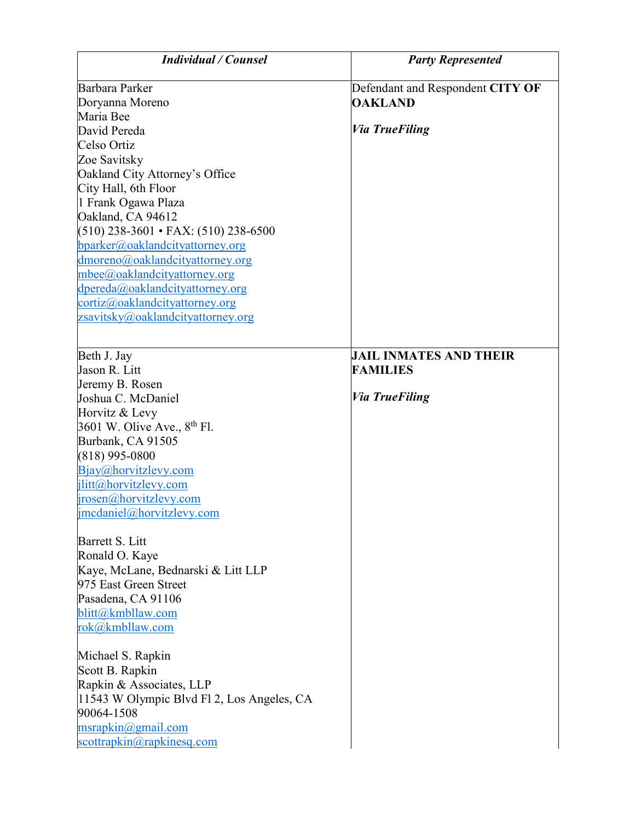| <b>Individual / Counsel</b>               | <b>Party Represented</b>         |
|-------------------------------------------|----------------------------------|
| Barbara Parker                            | Defendant and Respondent CITY OF |
| Doryanna Moreno                           | <b>OAKLAND</b>                   |
| Maria Bee                                 |                                  |
| David Pereda                              | <i><b>Via TrueFiling</b></i>     |
| Celso Ortiz                               |                                  |
| Zoe Savitsky                              |                                  |
| Oakland City Attorney's Office            |                                  |
| City Hall, 6th Floor                      |                                  |
| 1 Frank Ogawa Plaza                       |                                  |
| Oakland, CA 94612                         |                                  |
| $(510)$ 238-3601 • FAX: (510) 238-6500    |                                  |
| bparker@oaklandcityattorney.org           |                                  |
| dmoreno@oaklandcityattorney.org           |                                  |
| mbee@oaklandcityattorney.org              |                                  |
| dpereda@oaklandcityattorney.org           |                                  |
| cortiz@oaklandcityattorney.org            |                                  |
| zsavitsky@oaklandcityattorney.org         |                                  |
|                                           |                                  |
| Beth J. Jay                               | <b>JAIL INMATES AND THEIR</b>    |
| Jason R. Litt                             | <b>FAMILIES</b>                  |
| Jeremy B. Rosen                           |                                  |
| Joshua C. McDaniel                        | <b>Via TrueFiling</b>            |
| Horvitz & Levy                            |                                  |
| 3601 W. Olive Ave., 8 <sup>th</sup> Fl.   |                                  |
| Burbank, CA 91505                         |                                  |
| $(818)$ 995-0800                          |                                  |
| Bjay@horvitzlevy.com                      |                                  |
| jlitt@horvitzlevy.com                     |                                  |
| jrosen@horvitzlevy.com                    |                                  |
| jmcdaniel@horvitzlevy.com                 |                                  |
| Barrett S. Litt                           |                                  |
| Ronald O. Kaye                            |                                  |
| Kaye, McLane, Bednarski & Litt LLP        |                                  |
| 975 East Green Street                     |                                  |
| Pasadena, CA 91106                        |                                  |
| blitt@kmbllaw.com                         |                                  |
| rok@kmbllaw.com                           |                                  |
| Michael S. Rapkin                         |                                  |
| Scott B. Rapkin                           |                                  |
| Rapkin & Associates, LLP                  |                                  |
| 11543 W Olympic Blvd F12, Los Angeles, CA |                                  |
| 90064-1508                                |                                  |
| msraphi nQgmail.com                       |                                  |
| scottrapkin@rapkinesq.com                 |                                  |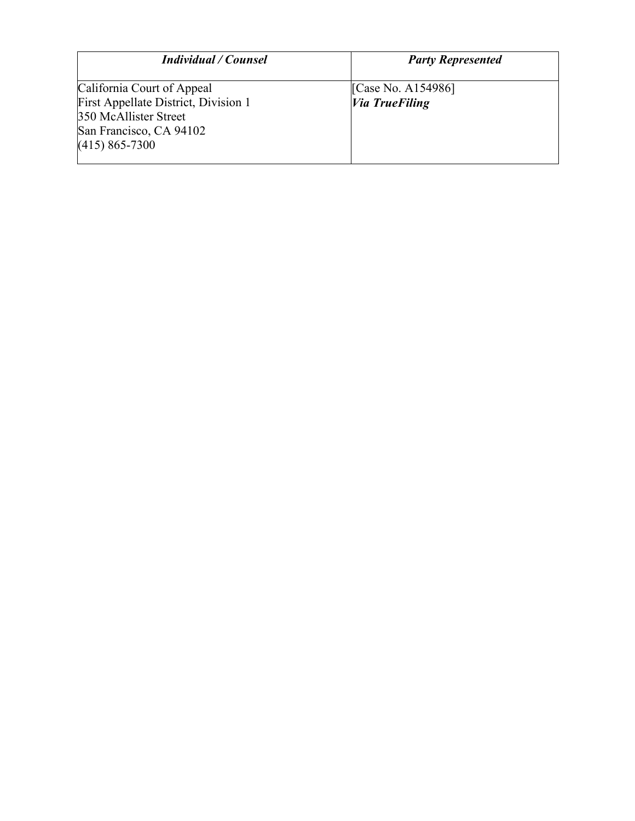| <b>Individual / Counsel</b>                                   | <b>Party Represented</b> |
|---------------------------------------------------------------|--------------------------|
| California Court of Appeal                                    | [Case No. A154986]       |
| First Appellate District, Division 1<br>350 McAllister Street | <b>Via TrueFiling</b>    |
| San Francisco, CA 94102<br>$(415)$ 865-7300                   |                          |
|                                                               |                          |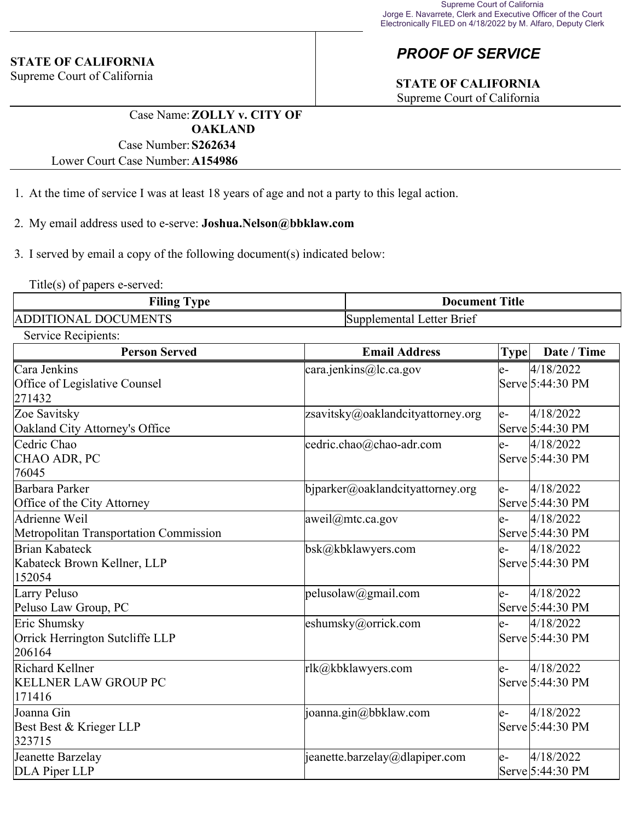#### **STATE OF CALIFORNIA**

Supreme Court of California

## *PROOF OF SERVICE*

# **STATE OF CALIFORNIA**

Supreme Court of California

Case Name:**ZOLLY v. CITY OF OAKLAND** Case Number:**S262634**

Lower Court Case Number:**A154986**

- 1. At the time of service I was at least 18 years of age and not a party to this legal action.
- 2. My email address used to e-serve: **Joshua.Nelson@bbklaw.com**

3. I served by email a copy of the following document(s) indicated below:

Title(s) of papers e-served:

| Filing T<br>$T$ vpe         | <b>Document Title</b>     |  |
|-----------------------------|---------------------------|--|
| <b>ADDITIONAL DOCUMENTS</b> | Supplemental Letter Brief |  |

Service Recipients:

| <b>Person Served</b>                                      | <b>Email Address</b>                | <b>Type</b> | Date / Time                   |
|-----------------------------------------------------------|-------------------------------------|-------------|-------------------------------|
| Cara Jenkins<br>Office of Legislative Counsel<br>271432   | cara.jenkins@lc.ca.gov              | le-         | 4/18/2022<br>Serve 5:44:30 PM |
| Zoe Savitsky<br>Oakland City Attorney's Office            | zsavitsky@oaklandcityattorney.org   | le-         | 4/18/2022<br>Serve 5:44:30 PM |
| Cedric Chao<br>CHAO ADR, PC<br>76045                      | cedric.chao@chao-adr.com            | e-          | 4/18/2022<br>Serve 5:44:30 PM |
| Barbara Parker<br>Office of the City Attorney             | $b$ jparker@oaklandcityattorney.org | le-         | 4/18/2022<br>Serve 5:44:30 PM |
| Adrienne Weil<br>Metropolitan Transportation Commission   | aweil@mtc.ca.gov                    | e-          | 4/18/2022<br>Serve 5:44:30 PM |
| Brian Kabateck<br>Kabateck Brown Kellner, LLP<br>152054   | bsk@kbklawyers.com                  | e-          | 4/18/2022<br>Serve 5:44:30 PM |
| Larry Peluso<br>Peluso Law Group, PC                      | pelusolaw@gmail.com                 | le-         | 4/18/2022<br>Serve 5:44:30 PM |
| Eric Shumsky<br>Orrick Herrington Sutcliffe LLP<br>206164 | eshumsky@orrick.com                 | le-         | 4/18/2022<br>Serve 5:44:30 PM |
| Richard Kellner<br><b>KELLNER LAW GROUP PC</b><br>171416  | rlk@kbklawyers.com                  | $e-$        | 4/18/2022<br>Serve 5:44:30 PM |
| Joanna Gin<br>Best Best & Krieger LLP<br>323715           | joanna.gin@bbklaw.com               | le-         | 4/18/2022<br>Serve 5:44:30 PM |
| Jeanette Barzelay<br>DLA Piper LLP                        | $ $ jeanette.barzelay@dlapiper.com  | e-          | 4/18/2022<br>Serve 5:44:30 PM |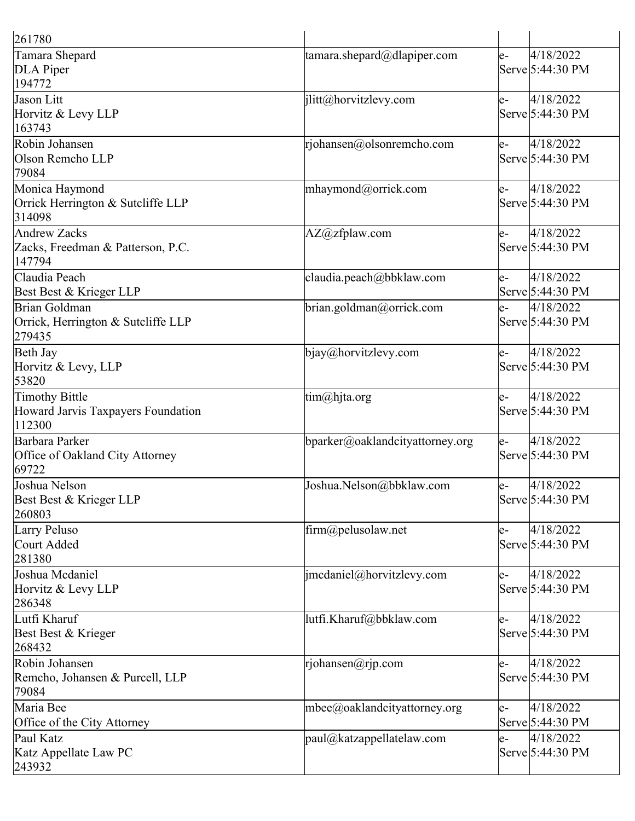| 261780                                                         |                                      |      |                                |
|----------------------------------------------------------------|--------------------------------------|------|--------------------------------|
| Tamara Shepard<br>DLA Piper<br>194772                          | $\tanar\alpha$ .shepard@dlapiper.com | e-   | 4/18/2022<br>Serve 5:44:30 PM  |
| Jason Litt<br>Horvitz & Levy LLP<br>163743                     | jlitt@horvitzlevy.com                | le-  | 4/18/2022<br>Serve 5:44:30 PM  |
| Robin Johansen<br>Olson Remcho LLP<br>79084                    | rjohansen@olsonremcho.com            | e-   | 4/18/2022<br>Serve 5:44:30 PM  |
| Monica Haymond<br>Orrick Herrington & Sutcliffe LLP<br>314098  | mhaymond@orrick.com                  | $e-$ | 4/18/2022<br>Serve 5:44:30 PM  |
| Andrew Zacks<br>Zacks, Freedman & Patterson, P.C.<br>147794    | $AZ@zf$ plaw.com                     | e-   | 4/18/2022<br>Serve 5:44:30 PM  |
| Claudia Peach<br>Best Best & Krieger LLP                       | claudia.peach@bbklaw.com             | e-   | 4/18/2022<br>Serve 5:44:30 PM  |
| Brian Goldman<br>Orrick, Herrington & Sutcliffe LLP<br>279435  | brian.goldman@orrick.com             | e-   | 4/18/2022<br>Serve 5:44:30 PM  |
| Beth Jay<br>Horvitz & Levy, LLP<br>53820                       | bigay@horvitzlevy.com                | $e-$ | 4/18/2022<br>Serve 5:44:30 PM  |
| Timothy Bittle<br>Howard Jarvis Taxpayers Foundation<br>112300 | tim@hjta.org                         | le-  | 4/18/2022<br>Serve 5:44:30 PM  |
| Barbara Parker<br>Office of Oakland City Attorney<br>69722     | bparker@oaklandcityattorney.org      | le-  | 4/18/2022<br>Serve 5:44:30 PM  |
| Joshua Nelson<br>Best Best & Krieger LLP<br>260803             | Joshua.Nelson@bbklaw.com             | e-   | 4/18/2022<br> Serve 5:44:30 PM |
| Larry Peluso<br>Court Added<br>281380                          | $\lim_{a \to \infty}$ elusolaw.net   | e-   | 4/18/2022<br>Serve 5:44:30 PM  |
| Joshua Mcdaniel<br>Horvitz & Levy LLP<br>286348                | imcdaniel@horvitzlevy.com            | e-   | 4/18/2022<br>Serve 5:44:30 PM  |
| Lutfi Kharuf<br>Best Best & Krieger<br>268432                  | lutfi.Kharuf@bbklaw.com              | e-   | 4/18/2022<br>Serve 5:44:30 PM  |
| Robin Johansen<br>Remcho, Johansen & Purcell, LLP<br>79084     | $r$ johansen $@r$ jp.com             | e-   | 4/18/2022<br>Serve 5:44:30 PM  |
| Maria Bee<br>Office of the City Attorney                       | $m$ bee@oaklandcityattorney.org      | e-   | 4/18/2022<br>Serve 5:44:30 PM  |
| Paul Katz<br>Katz Appellate Law PC<br>243932                   | $ $ paul@katzappellatelaw.com        | le-  | 4/18/2022<br>Serve 5:44:30 PM  |